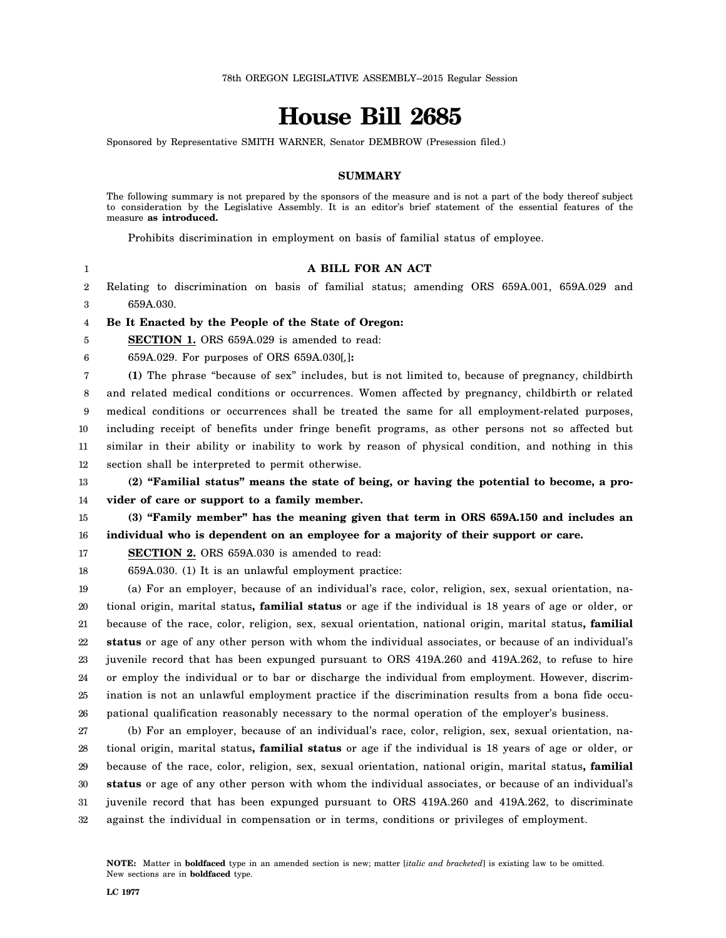# **House Bill 2685**

Sponsored by Representative SMITH WARNER, Senator DEMBROW (Presession filed.)

### **SUMMARY**

The following summary is not prepared by the sponsors of the measure and is not a part of the body thereof subject to consideration by the Legislative Assembly. It is an editor's brief statement of the essential features of the measure **as introduced.**

Prohibits discrimination in employment on basis of familial status of employee.

1 2 3 4 5 6 7 8 9 10 11 12 13 14 15 16 17 18 19 20 21 22 23 24 25 26 27 **A BILL FOR AN ACT** Relating to discrimination on basis of familial status; amending ORS 659A.001, 659A.029 and 659A.030. **Be It Enacted by the People of the State of Oregon: SECTION 1.** ORS 659A.029 is amended to read: 659A.029. For purposes of ORS 659A.030[*,*]**: (1)** The phrase "because of sex" includes, but is not limited to, because of pregnancy, childbirth and related medical conditions or occurrences. Women affected by pregnancy, childbirth or related medical conditions or occurrences shall be treated the same for all employment-related purposes, including receipt of benefits under fringe benefit programs, as other persons not so affected but similar in their ability or inability to work by reason of physical condition, and nothing in this section shall be interpreted to permit otherwise. **(2) "Familial status" means the state of being, or having the potential to become, a provider of care or support to a family member. (3) "Family member" has the meaning given that term in ORS 659A.150 and includes an individual who is dependent on an employee for a majority of their support or care. SECTION 2.** ORS 659A.030 is amended to read: 659A.030. (1) It is an unlawful employment practice: (a) For an employer, because of an individual's race, color, religion, sex, sexual orientation, national origin, marital status**, familial status** or age if the individual is 18 years of age or older, or because of the race, color, religion, sex, sexual orientation, national origin, marital status**, familial status** or age of any other person with whom the individual associates, or because of an individual's juvenile record that has been expunged pursuant to ORS 419A.260 and 419A.262, to refuse to hire or employ the individual or to bar or discharge the individual from employment. However, discrimination is not an unlawful employment practice if the discrimination results from a bona fide occupational qualification reasonably necessary to the normal operation of the employer's business. (b) For an employer, because of an individual's race, color, religion, sex, sexual orientation, na-

28 29 30 31 32 tional origin, marital status**, familial status** or age if the individual is 18 years of age or older, or because of the race, color, religion, sex, sexual orientation, national origin, marital status**, familial status** or age of any other person with whom the individual associates, or because of an individual's juvenile record that has been expunged pursuant to ORS 419A.260 and 419A.262, to discriminate against the individual in compensation or in terms, conditions or privileges of employment.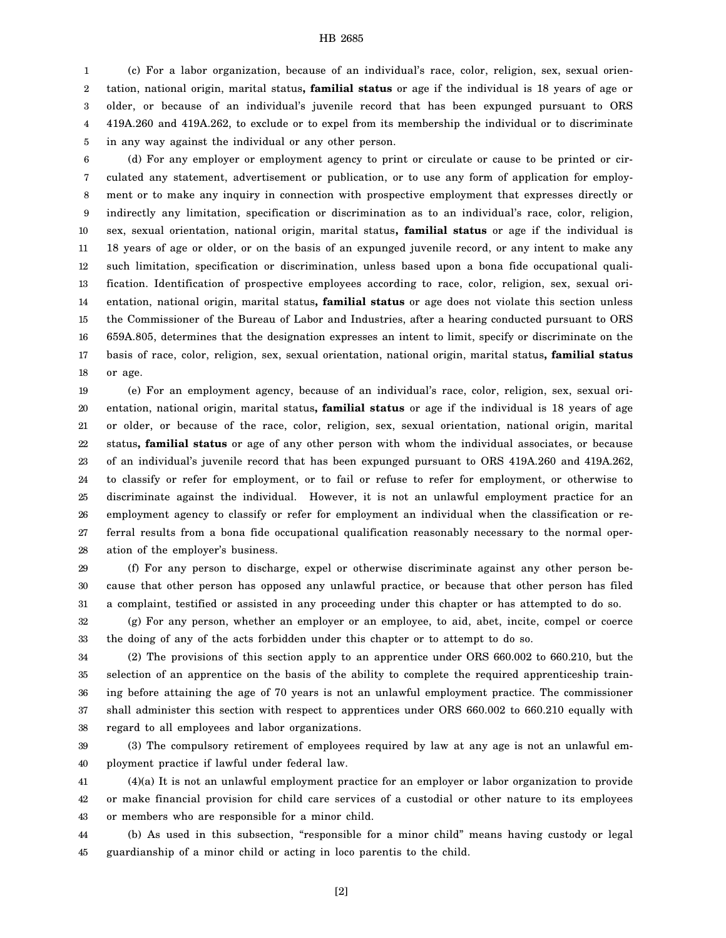#### HB 2685

1 2 3 4 5 (c) For a labor organization, because of an individual's race, color, religion, sex, sexual orientation, national origin, marital status**, familial status** or age if the individual is 18 years of age or older, or because of an individual's juvenile record that has been expunged pursuant to ORS 419A.260 and 419A.262, to exclude or to expel from its membership the individual or to discriminate in any way against the individual or any other person.

6 7 8 9 10 11 12 13 14 15 16 17 18 (d) For any employer or employment agency to print or circulate or cause to be printed or circulated any statement, advertisement or publication, or to use any form of application for employment or to make any inquiry in connection with prospective employment that expresses directly or indirectly any limitation, specification or discrimination as to an individual's race, color, religion, sex, sexual orientation, national origin, marital status**, familial status** or age if the individual is 18 years of age or older, or on the basis of an expunged juvenile record, or any intent to make any such limitation, specification or discrimination, unless based upon a bona fide occupational qualification. Identification of prospective employees according to race, color, religion, sex, sexual orientation, national origin, marital status**, familial status** or age does not violate this section unless the Commissioner of the Bureau of Labor and Industries, after a hearing conducted pursuant to ORS 659A.805, determines that the designation expresses an intent to limit, specify or discriminate on the basis of race, color, religion, sex, sexual orientation, national origin, marital status**, familial status** or age.

19 20 21 22 23 24 25 26 27 28 (e) For an employment agency, because of an individual's race, color, religion, sex, sexual orientation, national origin, marital status**, familial status** or age if the individual is 18 years of age or older, or because of the race, color, religion, sex, sexual orientation, national origin, marital status**, familial status** or age of any other person with whom the individual associates, or because of an individual's juvenile record that has been expunged pursuant to ORS 419A.260 and 419A.262, to classify or refer for employment, or to fail or refuse to refer for employment, or otherwise to discriminate against the individual. However, it is not an unlawful employment practice for an employment agency to classify or refer for employment an individual when the classification or referral results from a bona fide occupational qualification reasonably necessary to the normal operation of the employer's business.

29 30 31 (f) For any person to discharge, expel or otherwise discriminate against any other person because that other person has opposed any unlawful practice, or because that other person has filed a complaint, testified or assisted in any proceeding under this chapter or has attempted to do so.

32 33 (g) For any person, whether an employer or an employee, to aid, abet, incite, compel or coerce the doing of any of the acts forbidden under this chapter or to attempt to do so.

34 35 36 37 38 (2) The provisions of this section apply to an apprentice under ORS 660.002 to 660.210, but the selection of an apprentice on the basis of the ability to complete the required apprenticeship training before attaining the age of 70 years is not an unlawful employment practice. The commissioner shall administer this section with respect to apprentices under ORS 660.002 to 660.210 equally with regard to all employees and labor organizations.

39 40 (3) The compulsory retirement of employees required by law at any age is not an unlawful employment practice if lawful under federal law.

41 42 43 (4)(a) It is not an unlawful employment practice for an employer or labor organization to provide or make financial provision for child care services of a custodial or other nature to its employees or members who are responsible for a minor child.

44 45 (b) As used in this subsection, "responsible for a minor child" means having custody or legal guardianship of a minor child or acting in loco parentis to the child.

[2]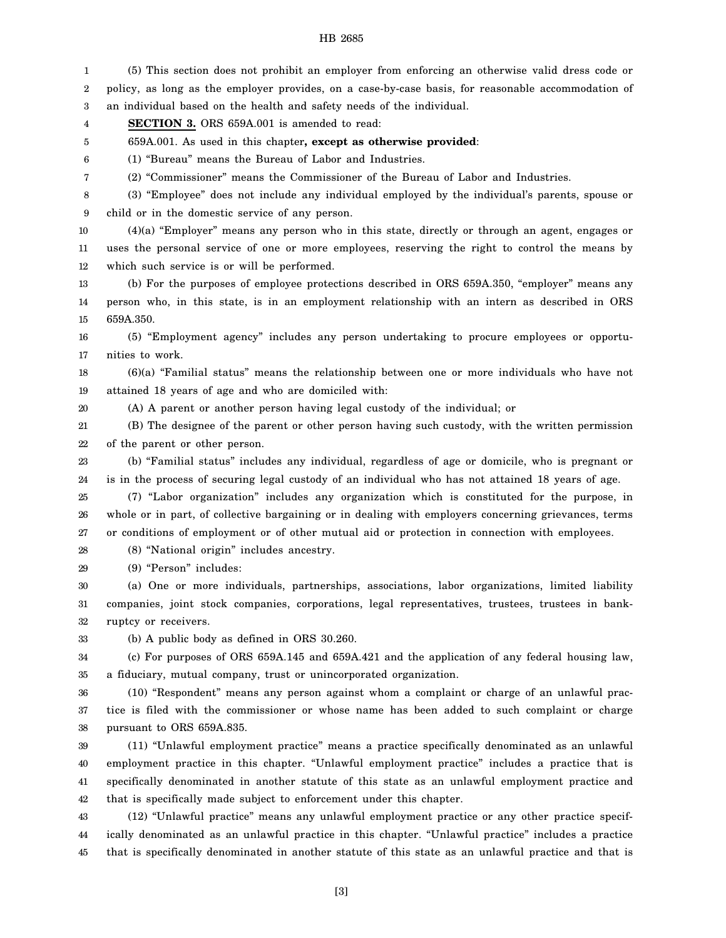#### HB 2685

1 2 3 4 5 6 7 8 9 10 11 12 13 14 15 16 17 18 19 20 21 22 23 24 25 26 27 28 29 30 31 32 33 34 35 36 37 38 39 40 41 42 43 44 (5) This section does not prohibit an employer from enforcing an otherwise valid dress code or policy, as long as the employer provides, on a case-by-case basis, for reasonable accommodation of an individual based on the health and safety needs of the individual. **SECTION 3.** ORS 659A.001 is amended to read: 659A.001. As used in this chapter**, except as otherwise provided**: (1) "Bureau" means the Bureau of Labor and Industries. (2) "Commissioner" means the Commissioner of the Bureau of Labor and Industries. (3) "Employee" does not include any individual employed by the individual's parents, spouse or child or in the domestic service of any person. (4)(a) "Employer" means any person who in this state, directly or through an agent, engages or uses the personal service of one or more employees, reserving the right to control the means by which such service is or will be performed. (b) For the purposes of employee protections described in ORS 659A.350, "employer" means any person who, in this state, is in an employment relationship with an intern as described in ORS 659A.350. (5) "Employment agency" includes any person undertaking to procure employees or opportunities to work. (6)(a) "Familial status" means the relationship between one or more individuals who have not attained 18 years of age and who are domiciled with: (A) A parent or another person having legal custody of the individual; or (B) The designee of the parent or other person having such custody, with the written permission of the parent or other person. (b) "Familial status" includes any individual, regardless of age or domicile, who is pregnant or is in the process of securing legal custody of an individual who has not attained 18 years of age. (7) "Labor organization" includes any organization which is constituted for the purpose, in whole or in part, of collective bargaining or in dealing with employers concerning grievances, terms or conditions of employment or of other mutual aid or protection in connection with employees. (8) "National origin" includes ancestry. (9) "Person" includes: (a) One or more individuals, partnerships, associations, labor organizations, limited liability companies, joint stock companies, corporations, legal representatives, trustees, trustees in bankruptcy or receivers. (b) A public body as defined in ORS 30.260. (c) For purposes of ORS 659A.145 and 659A.421 and the application of any federal housing law, a fiduciary, mutual company, trust or unincorporated organization. (10) "Respondent" means any person against whom a complaint or charge of an unlawful practice is filed with the commissioner or whose name has been added to such complaint or charge pursuant to ORS 659A.835. (11) "Unlawful employment practice" means a practice specifically denominated as an unlawful employment practice in this chapter. "Unlawful employment practice" includes a practice that is specifically denominated in another statute of this state as an unlawful employment practice and that is specifically made subject to enforcement under this chapter. (12) "Unlawful practice" means any unlawful employment practice or any other practice specifically denominated as an unlawful practice in this chapter. "Unlawful practice" includes a practice

45 that is specifically denominated in another statute of this state as an unlawful practice and that is